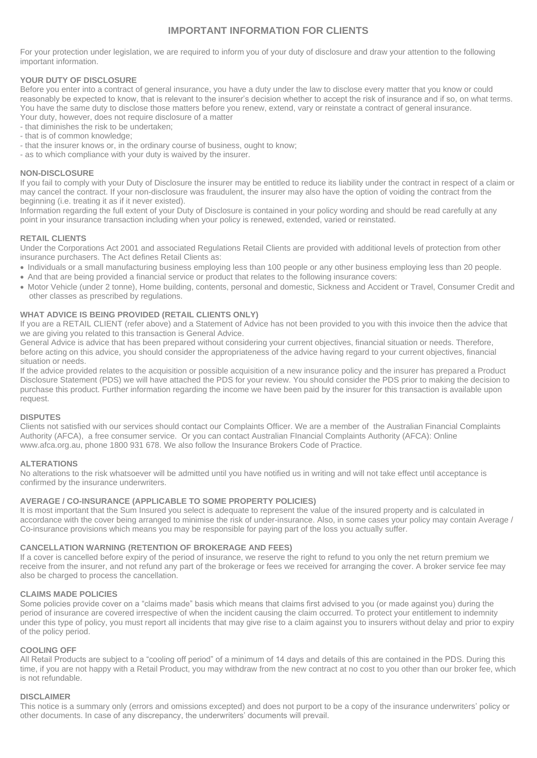# **IMPORTANT INFORMATION FOR CLIENTS**

For your protection under legislation, we are required to inform you of your duty of disclosure and draw your attention to the following important information.

# **YOUR DUTY OF DISCLOSURE**

Before you enter into a contract of general insurance, you have a duty under the law to disclose every matter that you know or could reasonably be expected to know, that is relevant to the insurer's decision whether to accept the risk of insurance and if so, on what terms. You have the same duty to disclose those matters before you renew, extend, vary or reinstate a contract of general insurance. Your duty, however, does not require disclosure of a matter

- that diminishes the risk to be undertaken;
- that is of common knowledge;
- that the insurer knows or, in the ordinary course of business, ought to know;
- as to which compliance with your duty is waived by the insurer.

### **NON-DISCLOSURE**

If you fail to comply with your Duty of Disclosure the insurer may be entitled to reduce its liability under the contract in respect of a claim or may cancel the contract. If your non-disclosure was fraudulent, the insurer may also have the option of voiding the contract from the beginning (i.e. treating it as if it never existed).

Information regarding the full extent of your Duty of Disclosure is contained in your policy wording and should be read carefully at any point in your insurance transaction including when your policy is renewed, extended, varied or reinstated.

# **RETAIL CLIENTS**

Under the Corporations Act 2001 and associated Regulations Retail Clients are provided with additional levels of protection from other insurance purchasers. The Act defines Retail Clients as:

- Individuals or a small manufacturing business employing less than 100 people or any other business employing less than 20 people.
- And that are being provided a financial service or product that relates to the following insurance covers:
- Motor Vehicle (under 2 tonne), Home building, contents, personal and domestic, Sickness and Accident or Travel, Consumer Credit and other classes as prescribed by regulations.

### **WHAT ADVICE IS BEING PROVIDED (RETAIL CLIENTS ONLY)**

If you are a RETAIL CLIENT (refer above) and a Statement of Advice has not been provided to you with this invoice then the advice that we are giving you related to this transaction is General Advice.

General Advice is advice that has been prepared without considering your current objectives, financial situation or needs. Therefore, before acting on this advice, you should consider the appropriateness of the advice having regard to your current objectives, financial situation or needs.

If the advice provided relates to the acquisition or possible acquisition of a new insurance policy and the insurer has prepared a Product Disclosure Statement (PDS) we will have attached the PDS for your review. You should consider the PDS prior to making the decision to purchase this product. Further information regarding the income we have been paid by the insurer for this transaction is available upon request.

#### **DISPUTES**

Clients not satisfied with our services should contact our Complaints Officer. We are a member of the Australian Financial Complaints Authority (AFCA), a free consumer service. Or you can contact Australian FInancial Complaints Authority (AFCA): Online www.afca.org.au, phone 1800 931 678. We also follow the Insurance Brokers Code of Practice.

#### **ALTERATIONS**

No alterations to the risk whatsoever will be admitted until you have notified us in writing and will not take effect until acceptance is confirmed by the insurance underwriters.

# **AVERAGE / CO-INSURANCE (APPLICABLE TO SOME PROPERTY POLICIES)**

It is most important that the Sum Insured you select is adequate to represent the value of the insured property and is calculated in accordance with the cover being arranged to minimise the risk of under-insurance. Also, in some cases your policy may contain Average / Co-insurance provisions which means you may be responsible for paying part of the loss you actually suffer.

# **CANCELLATION WARNING (RETENTION OF BROKERAGE AND FEES)**

If a cover is cancelled before expiry of the period of insurance, we reserve the right to refund to you only the net return premium we receive from the insurer, and not refund any part of the brokerage or fees we received for arranging the cover. A broker service fee may also be charged to process the cancellation.

# **CLAIMS MADE POLICIES**

Some policies provide cover on a "claims made" basis which means that claims first advised to you (or made against you) during the period of insurance are covered irrespective of when the incident causing the claim occurred. To protect your entitlement to indemnity under this type of policy, you must report all incidents that may give rise to a claim against you to insurers without delay and prior to expiry of the policy period.

### **COOLING OFF**

All Retail Products are subject to a "cooling off period" of a minimum of 14 days and details of this are contained in the PDS. During this time, if you are not happy with a Retail Product, you may withdraw from the new contract at no cost to you other than our broker fee, which is not refundable.

#### **DISCLAIMER**

This notice is a summary only (errors and omissions excepted) and does not purport to be a copy of the insurance underwriters' policy or other documents. In case of any discrepancy, the underwriters' documents will prevail.